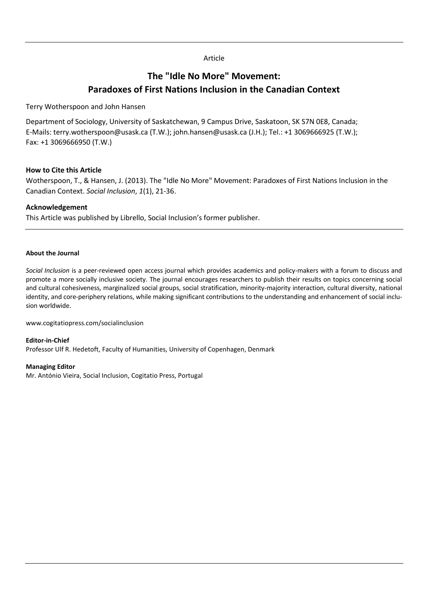## Article

# **The "Idle No More" Movement: Paradoxes of First Nations Inclusion in the Canadian Context**

Terry Wotherspoon and John Hansen

Department of Sociology, University of Saskatchewan, 9 Campus Drive, Saskatoon, SK S7N 0E8, Canada; E-Mails: terry.wotherspoon@usask.ca (T.W.); john.hansen@usask.ca (J.H.); Tel.: +1 3069666925 (T.W.); Fax: +1 3069666950 (T.W.)

#### **How to Cite this Article**

Wotherspoon, T., & Hansen, J. (2013). The "Idle No More" Movement: Paradoxes of First Nations Inclusion in the Canadian Context. *Social Inclusion*, *1*(1), 21-36.

# **Acknowledgement**

This Article was published by Librello, Social Inclusion's former publisher.

#### **About the Journal**

*Social Inclusion* is a peer-reviewed open access journal which provides academics and policy-makers with a forum to discuss and promote a more socially inclusive society. The journal encourages researchers to publish their results on topics concerning social and cultural cohesiveness, marginalized social groups, social stratification, minority-majority interaction, cultural diversity, national identity, and core-periphery relations, while making significant contributions to the understanding and enhancement of social inclusion worldwide.

www.cogitatiopress.com/socialinclusion

**Editor-in-Chief** Professor Ulf R. Hedetoft, Faculty of Humanities, University of Copenhagen, Denmark

#### **Managing Editor**

Mr. António Vieira, Social Inclusion, Cogitatio Press, Portugal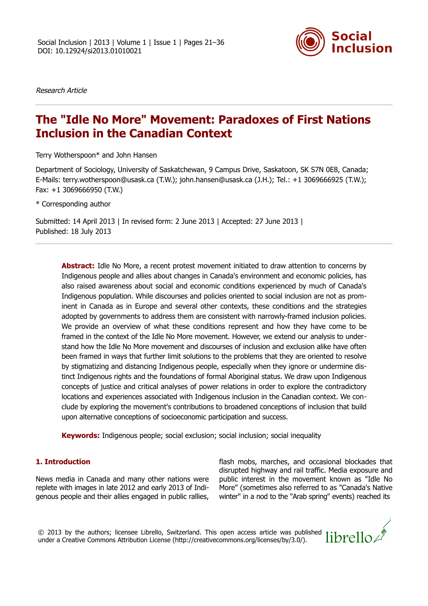

Research Article

# **The "Idle No More" Movement: Paradoxes of First Nations Inclusion in the Canadian Context**

Terry Wotherspoon\* and John Hansen

Department of Sociology, University of Saskatchewan, 9 Campus Drive, Saskatoon, SK S7N 0E8, Canada; E-Mails: terry.wotherspoon@usask.ca (T.W.); john.hansen@usask.ca (J.H.); Tel.: +1 3069666925 (T.W.); Fax: +1 3069666950 (T.W.)

\* Corresponding author

Submitted: 14 April 2013 | In revised form: 2 June 2013 | Accepted: 27 June 2013 | Published: 18 July 2013

**Abstract:** Idle No More, a recent protest movement initiated to draw attention to concerns by Indigenous people and allies about changes in Canada's environment and economic policies, has also raised awareness about social and economic conditions experienced by much of Canada's Indigenous population. While discourses and policies oriented to social inclusion are not as prominent in Canada as in Europe and several other contexts, these conditions and the strategies adopted by governments to address them are consistent with narrowly-framed inclusion policies. We provide an overview of what these conditions represent and how they have come to be framed in the context of the Idle No More movement. However, we extend our analysis to understand how the Idle No More movement and discourses of inclusion and exclusion alike have often been framed in ways that further limit solutions to the problems that they are oriented to resolve by stigmatizing and distancing Indigenous people, especially when they ignore or undermine distinct Indigenous rights and the foundations of formal Aboriginal status. We draw upon Indigenous concepts of justice and critical analyses of power relations in order to explore the contradictory locations and experiences associated with Indigenous inclusion in the Canadian context. We conclude by exploring the movement's contributions to broadened conceptions of inclusion that build upon alternative conceptions of socioeconomic participation and success.

**Keywords:** Indigenous people; social exclusion; social inclusion; social inequality

#### **1. Introduction**

News media in Canada and many other nations were replete with images in late 2012 and early 2013 of Indigenous people and their allies engaged in public rallies,

flash mobs, marches, and occasional blockades that disrupted highway and rail traffic. Media exposure and public interest in the movement known as "Idle No More" (sometimes also referred to as "Canada's Native winter" in a nod to the "Arab spring" events) reached its

© 2013 by the authors; licensee Librello, Switzerland. This open access article was published under a Creative Commons Attribution License (http://creativecommons.org/licenses/by/3.0/).

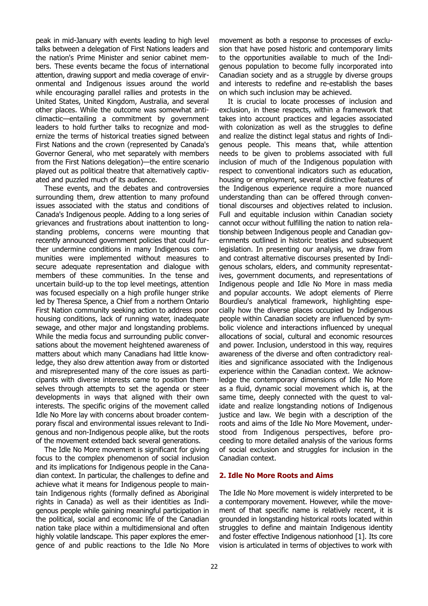peak in mid-January with events leading to high level talks between a delegation of First Nations leaders and the nation's Prime Minister and senior cabinet members. These events became the focus of international attention, drawing support and media coverage of environmental and Indigenous issues around the world while encouraging parallel rallies and protests in the United States, United Kingdom, Australia, and several other places. While the outcome was somewhat anticlimactic—entailing a commitment by government leaders to hold further talks to recognize and modernize the terms of historical treaties signed between First Nations and the crown (represented by Canada's Governor General, who met separately with members from the First Nations delegation)—the entire scenario played out as political theatre that alternatively captivated and puzzled much of its audience.

These events, and the debates and controversies surrounding them, drew attention to many profound issues associated with the status and conditions of Canada's Indigenous people. Adding to a long series of grievances and frustrations about inattention to longstanding problems, concerns were mounting that recently announced government policies that could further undermine conditions in many Indigenous communities were implemented without measures to secure adequate representation and dialogue with members of these communities. In the tense and uncertain build-up to the top level meetings, attention was focused especially on a high profile hunger strike led by Theresa Spence, a Chief from a northern Ontario First Nation community seeking action to address poor housing conditions, lack of running water, inadequate sewage, and other major and longstanding problems. While the media focus and surrounding public conversations about the movement heightened awareness of matters about which many Canadians had little knowledge, they also drew attention away from or distorted and misrepresented many of the core issues as participants with diverse interests came to position themselves through attempts to set the agenda or steer developments in ways that aligned with their own interests. The specific origins of the movement called Idle No More lay with concerns about broader contemporary fiscal and environmental issues relevant to Indigenous and non-Indigenous people alike, but the roots of the movement extended back several generations.

The Idle No More movement is significant for giving focus to the complex phenomenon of social inclusion and its implications for Indigenous people in the Canadian context. In particular, the challenges to define and achieve what it means for Indigenous people to maintain Indigenous rights (formally defined as Aboriginal rights in Canada) as well as their identities as Indigenous people while gaining meaningful participation in the political, social and economic life of the Canadian nation take place within a multidimensional and often highly volatile landscape. This paper explores the emergence of and public reactions to the Idle No More

movement as both a response to processes of exclusion that have posed historic and contemporary limits to the opportunities available to much of the Indigenous population to become fully incorporated into Canadian society and as a struggle by diverse groups and interests to redefine and re-establish the bases on which such inclusion may be achieved.

It is crucial to locate processes of inclusion and exclusion, in these respects, within a framework that takes into account practices and legacies associated with colonization as well as the struggles to define and realize the distinct legal status and rights of Indigenous people. This means that, while attention needs to be given to problems associated with full inclusion of much of the Indigenous population with respect to conventional indicators such as education, housing or employment, several distinctive features of the Indigenous experience require a more nuanced understanding than can be offered through conventional discourses and objectives related to inclusion. Full and equitable inclusion within Canadian society cannot occur without fulfilling the nation to nation relationship between Indigenous people and Canadian governments outlined in historic treaties and subsequent legislation. In presenting our analysis, we draw from and contrast alternative discourses presented by Indigenous scholars, elders, and community representatives, government documents, and representations of Indigenous people and Idle No More in mass media and popular accounts. We adopt elements of Pierre Bourdieu's analytical framework, highlighting especially how the diverse places occupied by Indigenous people within Canadian society are influenced by symbolic violence and interactions influenced by unequal allocations of social, cultural and economic resources and power. Inclusion, understood in this way, requires awareness of the diverse and often contradictory realities and significance associated with the Indigenous experience within the Canadian context. We acknowledge the contemporary dimensions of Idle No More as a fluid, dynamic social movement which is, at the same time, deeply connected with the quest to validate and realize longstanding notions of Indigenous justice and law. We begin with a description of the roots and aims of the Idle No More Movement, understood from Indigenous perspectives, before proceeding to more detailed analysis of the various forms of social exclusion and struggles for inclusion in the Canadian context.

#### **2. Idle No More Roots and Aims**

The Idle No More movement is widely interpreted to be a contemporary movement. However, while the movement of that specific name is relatively recent, it is grounded in longstanding historical roots located within struggles to define and maintain Indigenous identity and foster effective Indigenous nationhood [1]. Its core vision is articulated in terms of objectives to work with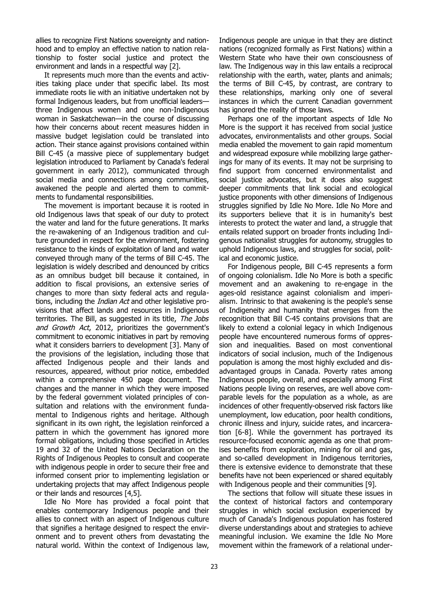allies to recognize First Nations sovereignty and nationhood and to employ an effective nation to nation relationship to foster social justice and protect the environment and lands in a respectful way [2].

It represents much more than the events and activities taking place under that specific label. Its most immediate roots lie with an initiative undertaken not by formal Indigenous leaders, but from unofficial leaders three Indigenous women and one non-Indigenous woman in Saskatchewan—in the course of discussing how their concerns about recent measures hidden in massive budget legislation could be translated into action. Their stance against provisions contained within Bill C-45 (a massive piece of supplementary budget legislation introduced to Parliament by Canada's federal government in early 2012), communicated through social media and connections among communities, awakened the people and alerted them to commitments to fundamental responsibilities.

The movement is important because it is rooted in old Indigenous laws that speak of our duty to protect the water and land for the future generations. It marks the re-awakening of an Indigenous tradition and culture grounded in respect for the environment, fostering resistance to the kinds of exploitation of land and water conveyed through many of the terms of Bill C-45. The legislation is widely described and denounced by critics as an omnibus budget bill because it contained, in addition to fiscal provisions, an extensive series of changes to more than sixty federal acts and regulations, including the *Indian Act* and other legislative provisions that affect lands and resources in Indigenous territories. The Bill, as suggested in its title, The Jobs and Growth Act, 2012, prioritizes the government's commitment to economic initiatives in part by removing what it considers barriers to development [3]. Many of the provisions of the legislation, including those that affected Indigenous people and their lands and resources, appeared, without prior notice, embedded within a comprehensive 450 page document. The changes and the manner in which they were imposed by the federal government violated principles of consultation and relations with the environment fundamental to Indigenous rights and heritage. Although significant in its own right, the legislation reinforced a pattern in which the government has ignored more formal obligations, including those specified in Articles 19 and 32 of the United Nations Declaration on the Rights of Indigenous Peoples to consult and cooperate with indigenous people in order to secure their free and informed consent prior to implementing legislation or undertaking projects that may affect Indigenous people or their lands and resources [4,5].

Idle No More has provided a focal point that enables contemporary Indigenous people and their allies to connect with an aspect of Indigenous culture that signifies a heritage designed to respect the environment and to prevent others from devastating the natural world. Within the context of Indigenous law,

Indigenous people are unique in that they are distinct nations (recognized formally as First Nations) within a Western State who have their own consciousness of law. The Indigenous way in this law entails a reciprocal relationship with the earth, water, plants and animals; the terms of Bill C-45, by contrast, are contrary to these relationships, marking only one of several instances in which the current Canadian government has ignored the reality of those laws.

Perhaps one of the important aspects of Idle No More is the support it has received from social justice advocates, environmentalists and other groups. Social media enabled the movement to gain rapid momentum and widespread exposure while mobilizing large gatherings for many of its events. It may not be surprising to find support from concerned environmentalist and social justice advocates, but it does also suggest deeper commitments that link social and ecological justice proponents with other dimensions of Indigenous struggles signified by Idle No More. Idle No More and its supporters believe that it is in humanity's best interests to protect the water and land, a struggle that entails related support on broader fronts including Indigenous nationalist struggles for autonomy, struggles to uphold Indigenous laws, and struggles for social, political and economic justice.

For Indigenous people, Bill C-45 represents a form of ongoing colonialism. Idle No More is both a specific movement and an awakening to re-engage in the ages-old resistance against colonialism and imperialism. Intrinsic to that awakening is the people's sense of Indigeneity and humanity that emerges from the recognition that Bill C-45 contains provisions that are likely to extend a colonial legacy in which Indigenous people have encountered numerous forms of oppression and inequalities. Based on most conventional indicators of social inclusion, much of the Indigenous population is among the most highly excluded and disadvantaged groups in Canada. Poverty rates among Indigenous people, overall, and especially among First Nations people living on reserves, are well above comparable levels for the population as a whole, as are incidences of other frequently-observed risk factors like unemployment, low education, poor health conditions, chronic illness and injury, suicide rates, and incarceration [6-8]. While the government has portrayed its resource-focused economic agenda as one that promises benefits from exploration, mining for oil and gas, and so-called development in Indigenous territories, there is extensive evidence to demonstrate that these benefits have not been experienced or shared equitably with Indigenous people and their communities [9].

The sections that follow will situate these issues in the context of historical factors and contemporary struggles in which social exclusion experienced by much of Canada's Indigenous population has fostered diverse understandings about and strategies to achieve meaningful inclusion. We examine the Idle No More movement within the framework of a relational under-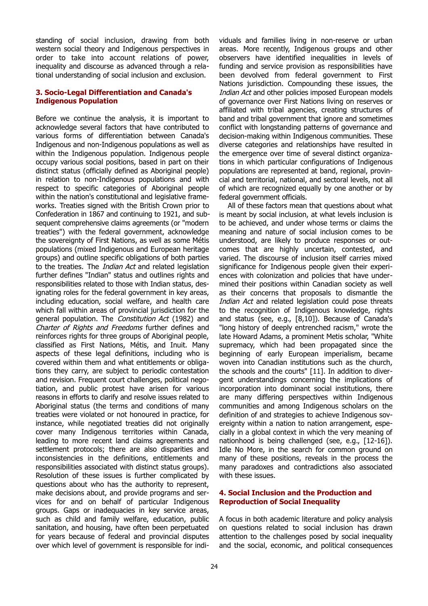standing of social inclusion, drawing from both western social theory and Indigenous perspectives in order to take into account relations of power, inequality and discourse as advanced through a relational understanding of social inclusion and exclusion.

#### **3. Socio-Legal Differentiation and Canada's Indigenous Population**

Before we continue the analysis, it is important to acknowledge several factors that have contributed to various forms of differentiation between Canada's Indigenous and non-Indigenous populations as well as within the Indigenous population. Indigenous people occupy various social positions, based in part on their distinct status (officially defined as Aboriginal people) in relation to non-Indigenous populations and with respect to specific categories of Aboriginal people within the nation's constitutional and legislative frameworks. Treaties signed with the British Crown prior to Confederation in 1867 and continuing to 1921, and subsequent comprehensive claims agreements (or "modern treaties") with the federal government, acknowledge the sovereignty of First Nations, as well as some Métis populations (mixed Indigenous and European heritage groups) and outline specific obligations of both parties to the treaties. The *Indian Act* and related legislation further defines "Indian" status and outlines rights and responsibilities related to those with Indian status, designating roles for the federal government in key areas, including education, social welfare, and health care which fall within areas of provincial jurisdiction for the general population. The Constitution Act (1982) and Charter of Rights and Freedoms further defines and reinforces rights for three groups of Aboriginal people, classified as First Nations, Métis, and Inuit. Many aspects of these legal definitions, including who is covered within them and what entitlements or obligations they carry, are subject to periodic contestation and revision. Frequent court challenges, political negotiation, and public protest have arisen for various reasons in efforts to clarify and resolve issues related to Aboriginal status (the terms and conditions of many treaties were violated or not honoured in practice, for instance, while negotiated treaties did not originally cover many Indigenous territories within Canada, leading to more recent land claims agreements and settlement protocols; there are also disparities and inconsistencies in the definitions, entitlements and responsibilities associated with distinct status groups). Resolution of these issues is further complicated by questions about who has the authority to represent, make decisions about, and provide programs and services for and on behalf of particular Indigenous groups. Gaps or inadequacies in key service areas, such as child and family welfare, education, public sanitation, and housing, have often been perpetuated for years because of federal and provincial disputes over which level of government is responsible for indi-

viduals and families living in non-reserve or urban areas. More recently, Indigenous groups and other observers have identified inequalities in levels of funding and service provision as responsibilities have been devolved from federal government to First Nations jurisdiction. Compounding these issues, the Indian Act and other policies imposed European models of governance over First Nations living on reserves or affiliated with tribal agencies, creating structures of band and tribal government that ignore and sometimes conflict with longstanding patterns of governance and decision-making within Indigenous communities. These diverse categories and relationships have resulted in the emergence over time of several distinct organizations in which particular configurations of Indigenous populations are represented at band, regional, provincial and territorial, national, and sectoral levels, not all of which are recognized equally by one another or by federal government officials.

All of these factors mean that questions about what is meant by social inclusion, at what levels inclusion is to be achieved, and under whose terms or claims the meaning and nature of social inclusion comes to be understood, are likely to produce responses or outcomes that are highly uncertain, contested, and varied. The discourse of inclusion itself carries mixed significance for Indigenous people given their experiences with colonization and policies that have undermined their positions within Canadian society as well as their concerns that proposals to dismantle the Indian Act and related legislation could pose threats to the recognition of Indigenous knowledge, rights and status (see, e.g., [8,10]). Because of Canada's "long history of deeply entrenched racism," wrote the late Howard Adams, a prominent Metis scholar, "White supremacy, which had been propagated since the beginning of early European imperialism, became woven into Canadian institutions such as the church, the schools and the courts" [11]. In addition to divergent understandings concerning the implications of incorporation into dominant social institutions, there are many differing perspectives within Indigenous communities and among Indigenous scholars on the definition of and strategies to achieve Indigenous sovereignty within a nation to nation arrangement, especially in a global context in which the very meaning of nationhood is being challenged (see, e.g., [12-16]). Idle No More, in the search for common ground on many of these positions, reveals in the process the many paradoxes and contradictions also associated with these issues.

#### **4. Social Inclusion and the Production and Reproduction of Social Inequality**

A focus in both academic literature and policy analysis on questions related to social inclusion has drawn attention to the challenges posed by social inequality and the social, economic, and political consequences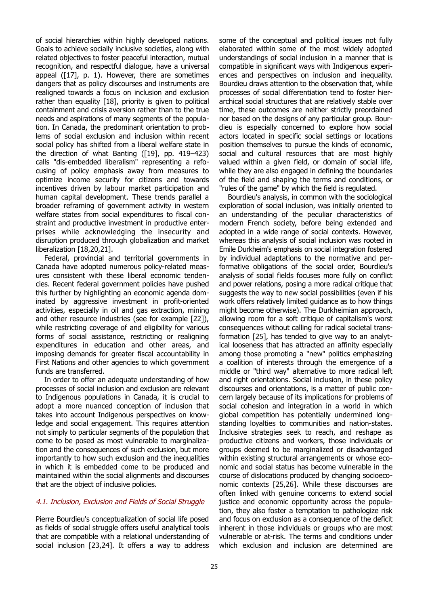of social hierarchies within highly developed nations. Goals to achieve socially inclusive societies, along with related objectives to foster peaceful interaction, mutual recognition, and respectful dialogue, have a universal appeal ([17], p. 1). However, there are sometimes dangers that as policy discourses and instruments are realigned towards a focus on inclusion and exclusion rather than equality [18], priority is given to political containment and crisis aversion rather than to the true needs and aspirations of many segments of the population. In Canada, the predominant orientation to problems of social exclusion and inclusion within recent social policy has shifted from a liberal welfare state in the direction of what Banting ([19], pp. 419–423) calls "dis-embedded liberalism" representing a refocusing of policy emphasis away from measures to optimize income security for citizens and towards incentives driven by labour market participation and human capital development. These trends parallel a broader reframing of government activity in western welfare states from social expenditures to fiscal constraint and productive investment in productive enterprises while acknowledging the insecurity and disruption produced through globalization and market liberalization [18,20,21].

Federal, provincial and territorial governments in Canada have adopted numerous policy-related measures consistent with these liberal economic tendencies. Recent federal government policies have pushed this further by highlighting an economic agenda dominated by aggressive investment in profit-oriented activities, especially in oil and gas extraction, mining and other resource industries (see for example [22]), while restricting coverage of and eligibility for various forms of social assistance, restricting or realigning expenditures in education and other areas, and imposing demands for greater fiscal accountability in First Nations and other agencies to which government funds are transferred.

In order to offer an adequate understanding of how processes of social inclusion and exclusion are relevant to Indigenous populations in Canada, it is crucial to adopt a more nuanced conception of inclusion that takes into account Indigenous perspectives on knowledge and social engagement. This requires attention not simply to particular segments of the population that come to be posed as most vulnerable to marginalization and the consequences of such exclusion, but more importantly to how such exclusion and the inequalities in which it is embedded come to be produced and maintained within the social alignments and discourses that are the object of inclusive policies.

#### 4.1. Inclusion, Exclusion and Fields of Social Struggle

Pierre Bourdieu's conceptualization of social life posed as fields of social struggle offers useful analytical tools that are compatible with a relational understanding of social inclusion [23,24]. It offers a way to address

some of the conceptual and political issues not fully elaborated within some of the most widely adopted understandings of social inclusion in a manner that is compatible in significant ways with Indigenous experiences and perspectives on inclusion and inequality. Bourdieu draws attention to the observation that, while processes of social differentiation tend to foster hierarchical social structures that are relatively stable over time, these outcomes are neither strictly preordained nor based on the designs of any particular group. Bourdieu is especially concerned to explore how social actors located in specific social settings or locations position themselves to pursue the kinds of economic, social and cultural resources that are most highly valued within a given field, or domain of social life, while they are also engaged in defining the boundaries of the field and shaping the terms and conditions, or "rules of the game" by which the field is regulated.

Bourdieu's analysis, in common with the sociological exploration of social inclusion, was initially oriented to an understanding of the peculiar characteristics of modern French society, before being extended and adopted in a wide range of social contexts. However, whereas this analysis of social inclusion was rooted in Emile Durkheim's emphasis on social integration fostered by individual adaptations to the normative and performative obligations of the social order, Bourdieu's analysis of social fields focuses more fully on conflict and power relations, posing a more radical critique that suggests the way to new social possibilities (even if his work offers relatively limited guidance as to how things might become otherwise). The Durkheimian approach, allowing room for a soft critique of capitalism's worst consequences without calling for radical societal transformation [25], has tended to give way to an analytical looseness that has attracted an affinity especially among those promoting a "new" politics emphasizing a coalition of interests through the emergence of a middle or "third way" alternative to more radical left and right orientations. Social inclusion, in these policy discourses and orientations, is a matter of public concern largely because of its implications for problems of social cohesion and integration in a world in which global competition has potentially undermined longstanding loyalties to communities and nation-states. Inclusive strategies seek to reach, and reshape as productive citizens and workers, those individuals or groups deemed to be marginalized or disadvantaged within existing structural arrangements or whose economic and social status has become vulnerable in the course of dislocations produced by changing socioeconomic contexts [25,26]. While these discourses are often linked with genuine concerns to extend social justice and economic opportunity across the population, they also foster a temptation to pathologize risk and focus on exclusion as a consequence of the deficit inherent in those individuals or groups who are most vulnerable or at-risk. The terms and conditions under which exclusion and inclusion are determined are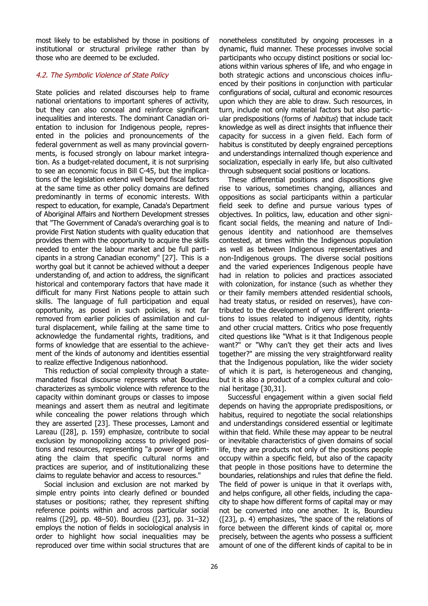most likely to be established by those in positions of institutional or structural privilege rather than by those who are deemed to be excluded.

## 4.2. The Symbolic Violence of State Policy

State policies and related discourses help to frame national orientations to important spheres of activity, but they can also conceal and reinforce significant inequalities and interests. The dominant Canadian orientation to inclusion for Indigenous people, represented in the policies and pronouncements of the federal government as well as many provincial governments, is focused strongly on labour market integration. As a budget-related document, it is not surprising to see an economic focus in Bill C-45, but the implications of the legislation extend well beyond fiscal factors at the same time as other policy domains are defined predominantly in terms of economic interests. With respect to education, for example, Canada's Department of Aboriginal Affairs and Northern Development stresses that "The Government of Canada's overarching goal is to provide First Nation students with quality education that provides them with the opportunity to acquire the skills needed to enter the labour market and be full participants in a strong Canadian economy" [27]. This is a worthy goal but it cannot be achieved without a deeper understanding of, and action to address, the significant historical and contemporary factors that have made it difficult for many First Nations people to attain such skills. The language of full participation and equal opportunity, as posed in such policies, is not far removed from earlier policies of assimilation and cultural displacement, while failing at the same time to acknowledge the fundamental rights, traditions, and forms of knowledge that are essential to the achievement of the kinds of autonomy and identities essential to realize effective Indigenous nationhood.

This reduction of social complexity through a statemandated fiscal discourse represents what Bourdieu characterizes as symbolic violence with reference to the capacity within dominant groups or classes to impose meanings and assert them as neutral and legitimate while concealing the power relations through which they are asserted [23]. These processes, Lamont and Lareau ([28], p. 159) emphasize, contribute to social exclusion by monopolizing access to privileged positions and resources, representing "a power of legitimating the claim that specific cultural norms and practices are superior, and of institutionalizing these claims to regulate behavior and access to resources."

Social inclusion and exclusion are not marked by simple entry points into clearly defined or bounded statuses or positions; rather, they represent shifting reference points within and across particular social realms ([29], pp. 48–50). Bourdieu ([23], pp. 31–32) employs the notion of fields in sociological analysis in order to highlight how social inequalities may be reproduced over time within social structures that are

nonetheless constituted by ongoing processes in a dynamic, fluid manner. These processes involve social participants who occupy distinct positions or social locations within various spheres of life, and who engage in both strategic actions and unconscious choices influenced by their positions in conjunction with particular configurations of social, cultural and economic resources upon which they are able to draw. Such resources, in turn, include not only material factors but also particular predispositions (forms of *habitus*) that include tacit knowledge as well as direct insights that influence their capacity for success in a given field. Each form of habitus is constituted by deeply engrained perceptions and understandings internalized though experience and socialization, especially in early life, but also cultivated through subsequent social positions or locations.

These differential positions and dispositions give rise to various, sometimes changing, alliances and oppositions as social participants within a particular field seek to define and pursue various types of objectives. In politics, law, education and other significant social fields, the meaning and nature of Indigenous identity and nationhood are themselves contested, at times within the Indigenous population as well as between Indigenous representatives and non-Indigenous groups. The diverse social positions and the varied experiences Indigenous people have had in relation to policies and practices associated with colonization, for instance (such as whether they or their family members attended residential schools, had treaty status, or resided on reserves), have contributed to the development of very different orientations to issues related to indigenous identity, rights and other crucial matters. Critics who pose frequently cited questions like "What is it that Indigenous people want?" or "Why can't they get their acts and lives together?" are missing the very straightforward reality that the Indigenous population, like the wider society of which it is part, is heterogeneous and changing, but it is also a product of a complex cultural and colonial heritage [30,31].

Successful engagement within a given social field depends on having the appropriate predispositions, or habitus, required to negotiate the social relationships and understandings considered essential or legitimate within that field. While these may appear to be neutral or inevitable characteristics of given domains of social life, they are products not only of the positions people occupy within a specific field, but also of the capacity that people in those positions have to determine the boundaries, relationships and rules that define the field. The field of power is unique in that it overlaps with, and helps configure, all other fields, including the capacity to shape how different forms of capital may or may not be converted into one another. It is, Bourdieu ([23], p. 4) emphasizes, "the space of the relations of force between the different kinds of capital or, more precisely, between the agents who possess a sufficient amount of one of the different kinds of capital to be in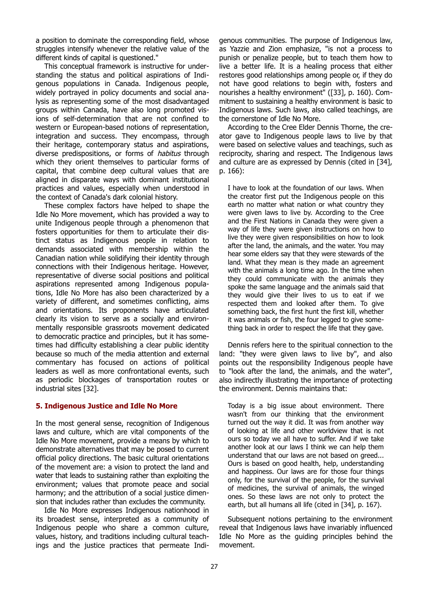a position to dominate the corresponding field, whose struggles intensify whenever the relative value of the different kinds of capital is questioned."

This conceptual framework is instructive for understanding the status and political aspirations of Indigenous populations in Canada. Indigenous people, widely portrayed in policy documents and social analysis as representing some of the most disadvantaged groups within Canada, have also long promoted visions of self-determination that are not confined to western or European-based notions of representation, integration and success. They encompass, through their heritage, contemporary status and aspirations, diverse predispositions, or forms of *habitus* through which they orient themselves to particular forms of capital, that combine deep cultural values that are aligned in disparate ways with dominant institutional practices and values, especially when understood in the context of Canada's dark colonial history.

These complex factors have helped to shape the Idle No More movement, which has provided a way to unite Indigenous people through a phenomenon that fosters opportunities for them to articulate their distinct status as Indigenous people in relation to demands associated with membership within the Canadian nation while solidifying their identity through connections with their Indigenous heritage. However, representative of diverse social positions and political aspirations represented among Indigenous populations, Idle No More has also been characterized by a variety of different, and sometimes conflicting, aims and orientations. Its proponents have articulated clearly its vision to serve as a socially and environmentally responsible grassroots movement dedicated to democratic practice and principles, but it has sometimes had difficulty establishing a clear public identity because so much of the media attention and external commentary has focused on actions of political leaders as well as more confrontational events, such as periodic blockages of transportation routes or industrial sites [32].

#### **5. Indigenous Justice and Idle No More**

In the most general sense, recognition of Indigenous laws and culture, which are vital components of the Idle No More movement, provide a means by which to demonstrate alternatives that may be posed to current official policy directions. The basic cultural orientations of the movement are: a vision to protect the land and water that leads to sustaining rather than exploiting the environment; values that promote peace and social harmony; and the attribution of a social justice dimension that includes rather than excludes the community.

Idle No More expresses Indigenous nationhood in its broadest sense, interpreted as a community of Indigenous people who share a common culture, values, history, and traditions including cultural teachings and the justice practices that permeate Indi-

genous communities. The purpose of Indigenous law, as Yazzie and Zion emphasize, "is not a process to punish or penalize people, but to teach them how to live a better life. It is a healing process that either restores good relationships among people or, if they do not have good relations to begin with, fosters and nourishes a healthy environment" ([33], p. 160). Commitment to sustaining a healthy environment is basic to Indigenous laws. Such laws, also called teachings, are the cornerstone of Idle No More.

According to the Cree Elder Dennis Thorne, the creator gave to Indigenous people laws to live by that were based on selective values and teachings, such as reciprocity, sharing and respect. The Indigenous laws and culture are as expressed by Dennis (cited in [34], p. 166):

I have to look at the foundation of our laws. When the creator first put the Indigenous people on this earth no matter what nation or what country they were given laws to live by. According to the Cree and the First Nations in Canada they were given a way of life they were given instructions on how to live they were given responsibilities on how to look after the land, the animals, and the water. You may hear some elders say that they were stewards of the land. What they mean is they made an agreement with the animals a long time ago. In the time when they could communicate with the animals they spoke the same language and the animals said that they would give their lives to us to eat if we respected them and looked after them. To give something back, the first hunt the first kill, whether it was animals or fish, the four legged to give something back in order to respect the life that they gave.

Dennis refers here to the spiritual connection to the land: "they were given laws to live by", and also points out the responsibility Indigenous people have to "look after the land, the animals, and the water", also indirectly illustrating the importance of protecting the environment. Dennis maintains that:

Today is a big issue about environment. There wasn't from our thinking that the environment turned out the way it did. It was from another way of looking at life and other worldview that is not ours so today we all have to suffer. And if we take another look at our laws I think we can help them understand that our laws are not based on greed... Ours is based on good health, help, understanding and happiness. Our laws are for those four things only, for the survival of the people, for the survival of medicines, the survival of animals, the winged ones. So these laws are not only to protect the earth, but all humans all life (cited in [34], p. 167).

Subsequent notions pertaining to the environment reveal that Indigenous laws have invariably influenced Idle No More as the guiding principles behind the movement.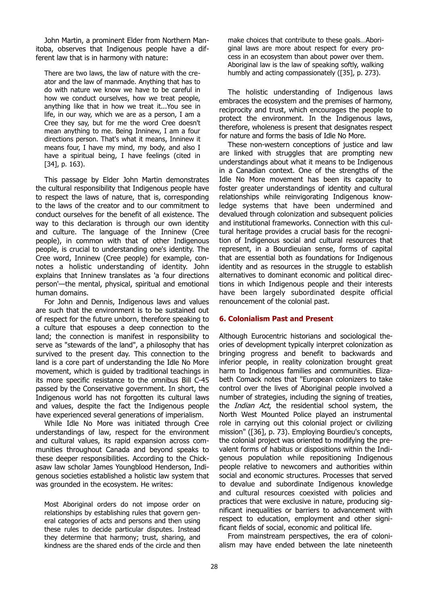John Martin, a prominent Elder from Northern Manitoba, observes that Indigenous people have a different law that is in harmony with nature:

There are two laws, the law of nature with the creator and the law of manmade. Anything that has to do with nature we know we have to be careful in how we conduct ourselves, how we treat people, anything like that in how we treat it...You see in life, in our way, which we are as a person, I am a Cree they say, but for me the word Cree doesn't mean anything to me. Being Inninew, I am a four directions person. That's what it means, Inninew it means four, I have my mind, my body, and also I have a spiritual being, I have feelings (cited in [34], p. 163).

This passage by Elder John Martin demonstrates the cultural responsibility that Indigenous people have to respect the laws of nature, that is, corresponding to the laws of the creator and to our commitment to conduct ourselves for the benefit of all existence. The way to this declaration is through our own identity and culture. The language of the Inninew (Cree people), in common with that of other Indigenous people, is crucial to understanding one's identity. The Cree word, Inninew (Cree people) for example, connotes a holistic understanding of identity. John explains that Inninew translates as 'a four directions person'—the mental, physical, spiritual and emotional human domains.

For John and Dennis, Indigenous laws and values are such that the environment is to be sustained out of respect for the future unborn, therefore speaking to a culture that espouses a deep connection to the land; the connection is manifest in responsibility to serve as "stewards of the land", a philosophy that has survived to the present day. This connection to the land is a core part of understanding the Idle No More movement, which is guided by traditional teachings in its more specific resistance to the omnibus Bill C-45 passed by the Conservative government. In short, the Indigenous world has not forgotten its cultural laws and values, despite the fact the Indigenous people have experienced several generations of imperialism.

While Idle No More was initiated through Cree understandings of law, respect for the environment and cultural values, its rapid expansion across communities throughout Canada and beyond speaks to these deeper responsibilities. According to the Chickasaw law scholar James Youngblood Henderson, Indigenous societies established a holistic law system that was grounded in the ecosystem. He writes:

Most Aboriginal orders do not impose order on relationships by establishing rules that govern general categories of acts and persons and then using these rules to decide particular disputes. Instead they determine that harmony; trust, sharing, and kindness are the shared ends of the circle and then make choices that contribute to these goals…Aboriginal laws are more about respect for every process in an ecosystem than about power over them. Aboriginal law is the law of speaking softly, walking humbly and acting compassionately ([35], p. 273).

The holistic understanding of Indigenous laws embraces the ecosystem and the premises of harmony, reciprocity and trust, which encourages the people to protect the environment. In the Indigenous laws, therefore, wholeness is present that designates respect for nature and forms the basis of Idle No More.

These non-western conceptions of justice and law are linked with struggles that are prompting new understandings about what it means to be Indigenous in a Canadian context. One of the strengths of the Idle No More movement has been its capacity to foster greater understandings of identity and cultural relationships while reinvigorating Indigenous knowledge systems that have been undermined and devalued through colonization and subsequent policies and institutional frameworks. Connection with this cultural heritage provides a crucial basis for the recognition of Indigenous social and cultural resources that represent, in a Bourdieuian sense, forms of capital that are essential both as foundations for Indigenous identity and as resources in the struggle to establish alternatives to dominant economic and political directions in which Indigenous people and their interests have been largely subordinated despite official renouncement of the colonial past.

#### **6. Colonialism Past and Present**

Although Eurocentric historians and sociological theories of development typically interpret colonization as bringing progress and benefit to backwards and inferior people, in reality colonization brought great harm to Indigenous families and communities. Elizabeth Comack notes that "European colonizers to take control over the lives of Aboriginal people involved a number of strategies, including the signing of treaties, the *Indian Act*, the residential school system, the North West Mounted Police played an instrumental role in carrying out this colonial project or civilizing mission" ([36], p. 73). Employing Bourdieu's concepts, the colonial project was oriented to modifying the prevalent forms of habitus or dispositions within the Indigenous population while repositioning Indigenous people relative to newcomers and authorities within social and economic structures. Processes that served to devalue and subordinate Indigenous knowledge and cultural resources coexisted with policies and practices that were exclusive in nature, producing significant inequalities or barriers to advancement with respect to education, employment and other significant fields of social, economic and political life.

From mainstream perspectives, the era of colonialism may have ended between the late nineteenth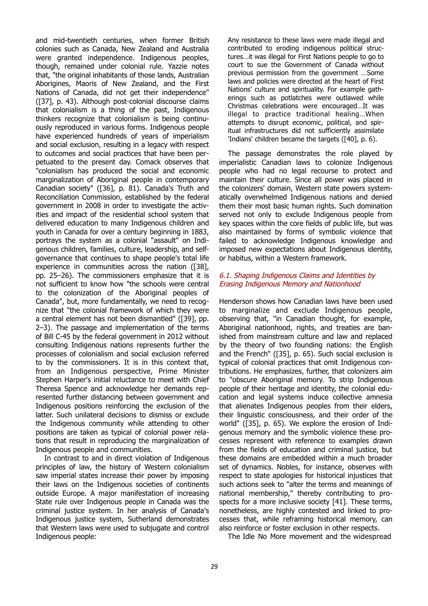and mid-twentieth centuries, when former British colonies such as Canada, New Zealand and Australia were granted independence. Indigenous peoples, though, remained under colonial rule. Yazzie notes that, "the original inhabitants of those lands, Australian Aborigines, Maoris of New Zealand, and the First Nations of Canada, did not get their independence" ([37], p. 43). Although post-colonial discourse claims that colonialism is a thing of the past, Indigenous thinkers recognize that colonialism is being continuously reproduced in various forms. Indigenous people have experienced hundreds of years of imperialism and social exclusion, resulting in a legacy with respect to outcomes and social practices that have been perpetuated to the present day. Comack observes that "colonialism has produced the social and economic marginalization of Aboriginal people in contemporary Canadian society" ([36], p. 81). Canada's Truth and Reconciliation Commission, established by the federal government in 2008 in order to investigate the activities and impact of the residential school system that delivered education to many Indigenous children and youth in Canada for over a century beginning in 1883, portrays the system as a colonial "assault" on Indigenous children, families, culture, leadership, and selfgovernance that continues to shape people's total life experience in communities across the nation ([38], pp. 25–26). The commissioners emphasize that it is not sufficient to know how "the schools were central to the colonization of the Aboriginal peoples of Canada", but, more fundamentally, we need to recognize that "the colonial framework of which they were a central element has not been dismantled" ([39], pp. 2–3). The passage and implementation of the terms of Bill C-45 by the federal government in 2012 without consulting Indigenous nations represents further the processes of colonialism and social exclusion referred to by the commissioners. It is in this context that, from an Indigenous perspective, Prime Minister Stephen Harper's initial reluctance to meet with Chief Theresa Spence and acknowledge her demands represented further distancing between government and Indigenous positions reinforcing the exclusion of the latter. Such unilateral decisions to dismiss or exclude the Indigenous community while attending to other positions are taken as typical of colonial power relations that result in reproducing the marginalization of Indigenous people and communities.

In contrast to and in direct violation of Indigenous principles of law, the history of Western colonialism saw imperial states increase their power by imposing their laws on the Indigenous societies of continents outside Europe. A major manifestation of increasing State rule over Indigenous people in Canada was the criminal justice system. In her analysis of Canada's Indigenous justice system, Sutherland demonstrates that Western laws were used to subjugate and control Indigenous people:

Any resistance to these laws were made illegal and contributed to eroding indigenous political structures…it was illegal for First Nations people to go to court to sue the Government of Canada without previous permission from the government …Some laws and policies were directed at the heart of First Nations' culture and spirituality. For example gatherings such as potlatches were outlawed while Christmas celebrations were encouraged…It was illegal to practice traditional healing…When attempts to disrupt economic, political, and spiritual infrastructures did not sufficiently assimilate 'Indians' children became the targets ([40], p. 6).

The passage demonstrates the role played by imperialistic Canadian laws to colonize Indigenous people who had no legal recourse to protect and maintain their culture. Since all power was placed in the colonizers' domain, Western state powers systematically overwhelmed Indigenous nations and denied them their most basic human rights. Such domination served not only to exclude Indigenous people from key spaces within the core fields of public life, but was also maintained by forms of symbolic violence that failed to acknowledge Indigenous knowledge and imposed new expectations about Indigenous identity, or habitus, within a Western framework.

#### 6.1. Shaping Indigenous Claims and Identities by Erasing Indigenous Memory and Nationhood

Henderson shows how Canadian laws have been used to marginalize and exclude Indigenous people, observing that, "in Canadian thought, for example, Aboriginal nationhood, rights, and treaties are banished from mainstream culture and law and replaced by the theory of two founding nations: the English and the French" ([35], p. 65). Such social exclusion is typical of colonial practices that omit Indigenous contributions. He emphasizes, further, that colonizers aim to "obscure Aboriginal memory. To strip Indigenous people of their heritage and identity, the colonial education and legal systems induce collective amnesia that alienates Indigenous peoples from their elders, their linguistic consciousness, and their order of the world" ([35], p. 65). We explore the erosion of Indigenous memory and the symbolic violence these processes represent with reference to examples drawn from the fields of education and criminal justice, but these domains are embedded within a much broader set of dynamics. Nobles, for instance, observes with respect to state apologies for historical injustices that such actions seek to "alter the terms and meanings of national membership," thereby contributing to prospects for a more inclusive society [41]. These terms, nonetheless, are highly contested and linked to processes that, while reframing historical memory, can also reinforce or foster exclusion in other respects.

The Idle No More movement and the widespread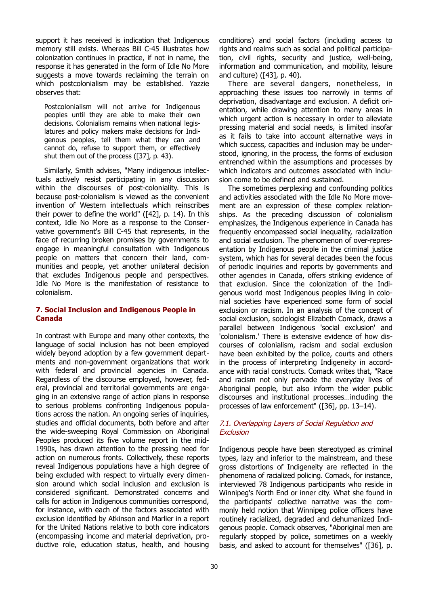support it has received is indication that Indigenous memory still exists. Whereas Bill C-45 illustrates how colonization continues in practice, if not in name, the response it has generated in the form of Idle No More suggests a move towards reclaiming the terrain on which postcolonialism may be established. Yazzie observes that:

Postcolonialism will not arrive for Indigenous peoples until they are able to make their own decisions. Colonialism remains when national legislatures and policy makers make decisions for Indigenous peoples, tell them what they can and cannot do, refuse to support them, or effectively shut them out of the process ([37], p. 43).

Similarly, Smith advises, "Many indigenous intellectuals actively resist participating in any discussion within the discourses of post-coloniality. This is because post-colonialism is viewed as the convenient invention of Western intellectuals which reinscribes their power to define the world" ([42], p. 14). In this context, Idle No More as a response to the Conservative government's Bill C-45 that represents, in the face of recurring broken promises by governments to engage in meaningful consultation with Indigenous people on matters that concern their land, communities and people, yet another unilateral decision that excludes Indigenous people and perspectives. Idle No More is the manifestation of resistance to colonialism.

#### **7. Social Inclusion and Indigenous People in Canada**

In contrast with Europe and many other contexts, the language of social inclusion has not been employed widely beyond adoption by a few government departments and non-government organizations that work with federal and provincial agencies in Canada. Regardless of the discourse employed, however, federal, provincial and territorial governments are engaging in an extensive range of action plans in response to serious problems confronting Indigenous populations across the nation. An ongoing series of inquiries, studies and official documents, both before and after the wide-sweeping Royal Commission on Aboriginal Peoples produced its five volume report in the mid-1990s, has drawn attention to the pressing need for action on numerous fronts. Collectively, these reports reveal Indigenous populations have a high degree of being excluded with respect to virtually every dimension around which social inclusion and exclusion is considered significant. Demonstrated concerns and calls for action in Indigenous communities correspond, for instance, with each of the factors associated with exclusion identified by Atkinson and Marlier in a report for the United Nations relative to both core indicators (encompassing income and material deprivation, productive role, education status, health, and housing

conditions) and social factors (including access to rights and realms such as social and political participation, civil rights, security and justice, well-being, information and communication, and mobility, leisure and culture) ([43], p. 40).

There are several dangers, nonetheless, in approaching these issues too narrowly in terms of deprivation, disadvantage and exclusion. A deficit orientation, while drawing attention to many areas in which urgent action is necessary in order to alleviate pressing material and social needs, is limited insofar as it fails to take into account alternative ways in which success, capacities and inclusion may be understood, ignoring, in the process, the forms of exclusion entrenched within the assumptions and processes by which indicators and outcomes associated with inclusion come to be defined and sustained.

The sometimes perplexing and confounding politics and activities associated with the Idle No More movement are an expression of these complex relationships. As the preceding discussion of colonialism emphasizes, the Indigenous experience in Canada has frequently encompassed social inequality, racialization and social exclusion. The phenomenon of over-representation by Indigenous people in the criminal justice system, which has for several decades been the focus of periodic inquiries and reports by governments and other agencies in Canada, offers striking evidence of that exclusion. Since the colonization of the Indigenous world most Indigenous peoples living in colonial societies have experienced some form of social exclusion or racism. In an analysis of the concept of social exclusion, sociologist Elizabeth Comack, draws a parallel between Indigenous 'social exclusion' and 'colonialism.' There is extensive evidence of how discourses of colonialism, racism and social exclusion have been exhibited by the police, courts and others in the process of interpreting Indigeneity in accordance with racial constructs. Comack writes that, "Race and racism not only pervade the everyday lives of Aboriginal people, but also inform the wider public discourses and institutional processes…including the processes of law enforcement" ([36], pp. 13–14).

# 7.1. Overlapping Layers of Social Regulation and **Exclusion**

Indigenous people have been stereotyped as criminal types, lazy and inferior to the mainstream, and these gross distortions of Indigeneity are reflected in the phenomena of racialized policing. Comack, for instance, interviewed 78 Indigenous participants who reside in Winnipeg's North End or inner city. What she found in the participants' collective narrative was the commonly held notion that Winnipeg police officers have routinely racialized, degraded and dehumanized Indigenous people. Comack observes, "Aboriginal men are regularly stopped by police, sometimes on a weekly basis, and asked to account for themselves" ([36], p.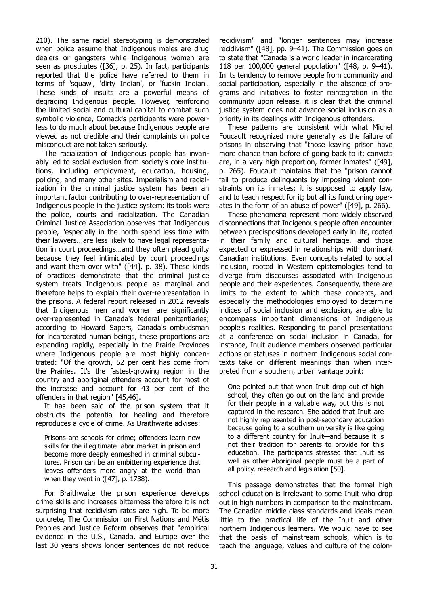210). The same racial stereotyping is demonstrated when police assume that Indigenous males are drug dealers or gangsters while Indigenous women are seen as prostitutes ([36], p. 25). In fact, participants reported that the police have referred to them in terms of 'squaw', 'dirty Indian', or 'fuckin Indian'. These kinds of insults are a powerful means of degrading Indigenous people. However, reinforcing the limited social and cultural capital to combat such symbolic violence, Comack's participants were powerless to do much about because Indigenous people are viewed as not credible and their complaints on police misconduct are not taken seriously.

The racialization of Indigenous people has invariably led to social exclusion from society's core institutions, including employment, education, housing, policing, and many other sites. Imperialism and racialization in the criminal justice system has been an important factor contributing to over-representation of Indigenous people in the justice system: its tools were the police, courts and racialization. The Canadian Criminal Justice Association observes that Indigenous people, "especially in the north spend less time with their lawyers...are less likely to have legal representation in court proceedings…and they often plead guilty because they feel intimidated by court proceedings and want them over with" ([44], p. 38). These kinds of practices demonstrate that the criminal justice system treats Indigenous people as marginal and therefore helps to explain their over-representation in the prisons. A federal report released in 2012 reveals that Indigenous men and women are significantly over-represented in Canada's federal penitentiaries; according to Howard Sapers, Canada's ombudsman for incarcerated human beings, these proportions are expanding rapidly, especially in the Prairie Provinces where Indigenous people are most highly concentrated: "Of the growth, 52 per cent has come from the Prairies. It's the fastest-growing region in the country and aboriginal offenders account for most of the increase and account for 43 per cent of the offenders in that region" [45,46].

It has been said of the prison system that it obstructs the potential for healing and therefore reproduces a cycle of crime. As Braithwaite advises:

Prisons are schools for crime; offenders learn new skills for the illegitimate labor market in prison and become more deeply enmeshed in criminal subcultures. Prison can be an embittering experience that leaves offenders more angry at the world than when they went in ([47], p. 1738).

For Braithwaite the prison experience develops crime skills and increases bitterness therefore it is not surprising that recidivism rates are high. To be more concrete, The Commission on First Nations and Métis Peoples and Justice Reform observes that "empirical evidence in the U.S., Canada, and Europe over the last 30 years shows longer sentences do not reduce

recidivism" and "longer sentences may increase recidivism" ([48], pp. 9–41). The Commission goes on to state that "Canada is a world leader in incarcerating 118 per 100,000 general population" ([48, p. 9–41). In its tendency to remove people from community and social participation, especially in the absence of programs and initiatives to foster reintegration in the community upon release, it is clear that the criminal justice system does not advance social inclusion as a priority in its dealings with Indigenous offenders.

These patterns are consistent with what Michel Foucault recognized more generally as the failure of prisons in observing that "those leaving prison have more chance than before of going back to it; convicts are, in a very high proportion, former inmates" ([49], p. 265). Foucault maintains that the "prison cannot fail to produce delinquents by imposing violent constraints on its inmates; it is supposed to apply law, and to teach respect for it; but all its functioning operates in the form of an abuse of power" ([49], p. 266).

These phenomena represent more widely observed disconnections that Indigenous people often encounter between predispositions developed early in life, rooted in their family and cultural heritage, and those expected or expressed in relationships with dominant Canadian institutions. Even concepts related to social inclusion, rooted in Western epistemologies tend to diverge from discourses associated with Indigenous people and their experiences. Consequently, there are limits to the extent to which these concepts, and especially the methodologies employed to determine indices of social inclusion and exclusion, are able to encompass important dimensions of Indigenous people's realities. Responding to panel presentations at a conference on social inclusion in Canada, for instance, Inuit audience members observed particular actions or statuses in northern Indigenous social contexts take on different meanings than when interpreted from a southern, urban vantage point:

One pointed out that when Inuit drop out of high school, they often go out on the land and provide for their people in a valuable way, but this is not captured in the research. She added that Inuit are not highly represented in post-secondary education because going to a southern university is like going to a different country for Inuit—and because it is not their tradition for parents to provide for this education. The participants stressed that Inuit as well as other Aboriginal people must be a part of all policy, research and legislation [50].

This passage demonstrates that the formal high school education is irrelevant to some Inuit who drop out in high numbers in comparison to the mainstream. The Canadian middle class standards and ideals mean little to the practical life of the Inuit and other northern Indigenous learners. We would have to see that the basis of mainstream schools, which is to teach the language, values and culture of the colon-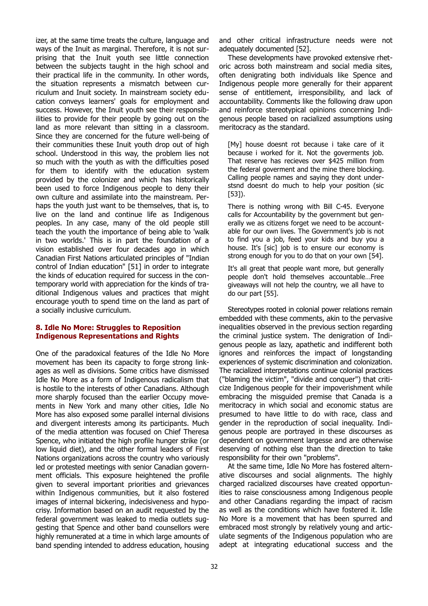izer, at the same time treats the culture, language and ways of the Inuit as marginal. Therefore, it is not surprising that the Inuit youth see little connection between the subjects taught in the high school and their practical life in the community. In other words, the situation represents a mismatch between curriculum and Inuit society. In mainstream society education conveys learners' goals for employment and success. However, the Inuit youth see their responsibilities to provide for their people by going out on the land as more relevant than sitting in a classroom. Since they are concerned for the future well-being of their communities these Inuit youth drop out of high school. Understood in this way, the problem lies not so much with the youth as with the difficulties posed for them to identify with the education system provided by the colonizer and which has historically been used to force Indigenous people to deny their own culture and assimilate into the mainstream. Perhaps the youth just want to be themselves, that is, to live on the land and continue life as Indigenous peoples. In any case, many of the old people still teach the youth the importance of being able to 'walk in two worlds.' This is in part the foundation of a vision established over four decades ago in which Canadian First Nations articulated principles of "Indian control of Indian education" [51] in order to integrate the kinds of education required for success in the contemporary world with appreciation for the kinds of traditional Indigenous values and practices that might encourage youth to spend time on the land as part of a socially inclusive curriculum.

#### **8. Idle No More: Struggles to Reposition Indigenous Representations and Rights**

One of the paradoxical features of the Idle No More movement has been its capacity to forge strong linkages as well as divisions. Some critics have dismissed Idle No More as a form of Indigenous radicalism that is hostile to the interests of other Canadians. Although more sharply focused than the earlier Occupy movements in New York and many other cities, Idle No More has also exposed some parallel internal divisions and divergent interests among its participants. Much of the media attention was focused on Chief Theresa Spence, who initiated the high profile hunger strike (or low liquid diet), and the other formal leaders of First Nations organizations across the country who variously led or protested meetings with senior Canadian government officials. This exposure heightened the profile given to several important priorities and grievances within Indigenous communities, but it also fostered images of internal bickering, indecisiveness and hypocrisy. Information based on an audit requested by the federal government was leaked to media outlets suggesting that Spence and other band counsellors were highly remunerated at a time in which large amounts of band spending intended to address education, housing

and other critical infrastructure needs were not adequately documented [52].

These developments have provoked extensive rhetoric across both mainstream and social media sites, often denigrating both individuals like Spence and Indigenous people more generally for their apparent sense of entitlement, irresponsibility, and lack of accountability. Comments like the following draw upon and reinforce stereotypical opinions concerning Indigenous people based on racialized assumptions using meritocracy as the standard.

[My] house doesnt rot because i take care of it because i worked for it. Not the goverments job. That reserve has recieves over \$425 million from the federal goverment and the mine there blocking. Calling people names and saying they dont understsnd doesnt do much to help your position (sic [53]).

There is nothing wrong with Bill C-45. Everyone calls for Accountability by the government but generally we as citizens forget we need to be accountable for our own lives. The Government's job is not to find you a job, feed your kids and buy you a house. It's [sic] job is to ensure our economy is strong enough for you to do that on your own [54].

It's all great that people want more, but generally people don't hold themselves accountable…Free giveaways will not help the country, we all have to do our part [55].

Stereotypes rooted in colonial power relations remain embedded with these comments, akin to the pervasive inequalities observed in the previous section regarding the criminal justice system. The denigration of Indigenous people as lazy, apathetic and indifferent both ignores and reinforces the impact of longstanding experiences of systemic discrimination and colonization. The racialized interpretations continue colonial practices ("blaming the victim", "divide and conquer") that criticize Indigenous people for their impoverishment while embracing the misguided premise that Canada is a meritocracy in which social and economic status are presumed to have little to do with race, class and gender in the reproduction of social inequality. Indigenous people are portrayed in these discourses as dependent on government largesse and are otherwise deserving of nothing else than the direction to take responsibility for their own "problems".

At the same time, Idle No More has fostered alternative discourses and social alignments. The highly charged racialized discourses have created opportunities to raise consciousness among Indigenous people and other Canadians regarding the impact of racism as well as the conditions which have fostered it. Idle No More is a movement that has been spurred and embraced most strongly by relatively young and articulate segments of the Indigenous population who are adept at integrating educational success and the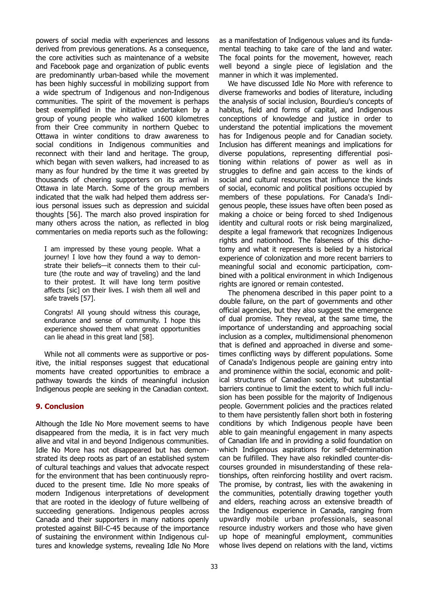powers of social media with experiences and lessons derived from previous generations. As a consequence, the core activities such as maintenance of a website and Facebook page and organization of public events are predominantly urban-based while the movement has been highly successful in mobilizing support from a wide spectrum of Indigenous and non-Indigenous communities. The spirit of the movement is perhaps best exemplified in the initiative undertaken by a group of young people who walked 1600 kilometres from their Cree community in northern Quebec to Ottawa in winter conditions to draw awareness to social conditions in Indigenous communities and reconnect with their land and heritage. The group, which began with seven walkers, had increased to as many as four hundred by the time it was greeted by thousands of cheering supporters on its arrival in Ottawa in late March. Some of the group members indicated that the walk had helped them address serious personal issues such as depression and suicidal thoughts [56]. The march also proved inspiration for many others across the nation, as reflected in blog commentaries on media reports such as the following:

I am impressed by these young people. What a journey! I love how they found a way to demonstrate their beliefs—it connects them to their culture (the route and way of traveling) and the land to their protest. It will have long term positive affects [sic] on their lives. I wish them all well and safe travels [57].

Congrats! All young should witness this courage, endurance and sense of community. I hope this experience showed them what great opportunities can lie ahead in this great land [58].

While not all comments were as supportive or positive, the initial responses suggest that educational moments have created opportunities to embrace a pathway towards the kinds of meaningful inclusion Indigenous people are seeking in the Canadian context.

#### **9. Conclusion**

Although the Idle No More movement seems to have disappeared from the media, it is in fact very much alive and vital in and beyond Indigenous communities. Idle No More has not disappeared but has demonstrated its deep roots as part of an established system of cultural teachings and values that advocate respect for the environment that has been continuously reproduced to the present time. Idle No more speaks of modern Indigenous interpretations of development that are rooted in the ideology of future wellbeing of succeeding generations. Indigenous peoples across Canada and their supporters in many nations openly protested against Bill-C-45 because of the importance of sustaining the environment within Indigenous cultures and knowledge systems, revealing Idle No More

as a manifestation of Indigenous values and its fundamental teaching to take care of the land and water. The focal points for the movement, however, reach well beyond a single piece of legislation and the manner in which it was implemented.

We have discussed Idle No More with reference to diverse frameworks and bodies of literature, including the analysis of social inclusion, Bourdieu's concepts of habitus, field and forms of capital, and Indigenous conceptions of knowledge and justice in order to understand the potential implications the movement has for Indigenous people and for Canadian society. Inclusion has different meanings and implications for diverse populations, representing differential positioning within relations of power as well as in struggles to define and gain access to the kinds of social and cultural resources that influence the kinds of social, economic and political positions occupied by members of these populations. For Canada's Indigenous people, these issues have often been posed as making a choice or being forced to shed Indigenous identity and cultural roots or risk being marginalized, despite a legal framework that recognizes Indigenous rights and nationhood. The falseness of this dichotomy and what it represents is belied by a historical experience of colonization and more recent barriers to meaningful social and economic participation, combined with a political environment in which Indigenous rights are ignored or remain contested.

The phenomena described in this paper point to a double failure, on the part of governments and other official agencies, but they also suggest the emergence of dual promise. They reveal, at the same time, the importance of understanding and approaching social inclusion as a complex, multidimensional phenomenon that is defined and approached in diverse and sometimes conflicting ways by different populations. Some of Canada's Indigenous people are gaining entry into and prominence within the social, economic and political structures of Canadian society, but substantial barriers continue to limit the extent to which full inclusion has been possible for the majority of Indigenous people. Government policies and the practices related to them have persistently fallen short both in fostering conditions by which Indigenous people have been able to gain meaningful engagement in many aspects of Canadian life and in providing a solid foundation on which Indigenous aspirations for self-determination can be fulfilled. They have also rekindled counter-discourses grounded in misunderstanding of these relationships, often reinforcing hostility and overt racism. The promise, by contrast, lies with the awakening in the communities, potentially drawing together youth and elders, reaching across an extensive breadth of the Indigenous experience in Canada, ranging from upwardly mobile urban professionals, seasonal resource industry workers and those who have given up hope of meaningful employment, communities whose lives depend on relations with the land, victims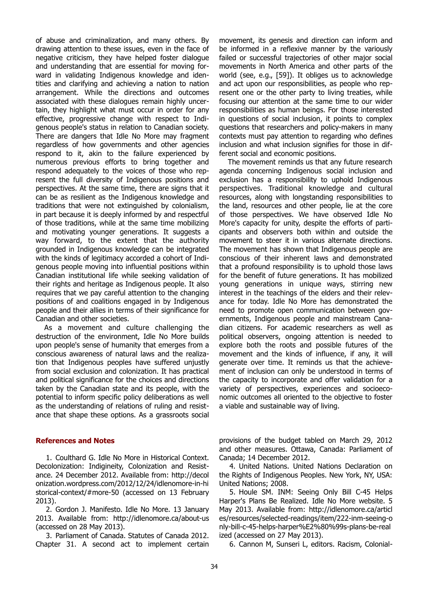of abuse and criminalization, and many others. By drawing attention to these issues, even in the face of negative criticism, they have helped foster dialogue and understanding that are essential for moving forward in validating Indigenous knowledge and identities and clarifying and achieving a nation to nation arrangement. While the directions and outcomes associated with these dialogues remain highly uncertain, they highlight what must occur in order for any effective, progressive change with respect to Indigenous people's status in relation to Canadian society. There are dangers that Idle No More may fragment regardless of how governments and other agencies respond to it, akin to the failure experienced by numerous previous efforts to bring together and respond adequately to the voices of those who represent the full diversity of Indigenous positions and perspectives. At the same time, there are signs that it can be as resilient as the Indigenous knowledge and traditions that were not extinguished by colonialism, in part because it is deeply informed by and respectful of those traditions, while at the same time mobilizing and motivating younger generations. It suggests a way forward, to the extent that the authority grounded in Indigenous knowledge can be integrated with the kinds of legitimacy accorded a cohort of Indigenous people moving into influential positions within Canadian institutional life while seeking validation of their rights and heritage as Indigenous people. It also requires that we pay careful attention to the changing positions of and coalitions engaged in by Indigenous people and their allies in terms of their significance for Canadian and other societies.

As a movement and culture challenging the destruction of the environment, Idle No More builds upon people's sense of humanity that emerges from a conscious awareness of natural laws and the realization that Indigenous peoples have suffered unjustly from social exclusion and colonization. It has practical and political significance for the choices and directions taken by the Canadian state and its people, with the potential to inform specific policy deliberations as well as the understanding of relations of ruling and resistance that shape these options. As a grassroots social

#### **References and Notes**

1. Coulthard G. Idle No More in Historical Context. Decolonization: Indigineity, Colonization and Resistance. 24 December 2012. Available from: http://decol onization.wordpress.com/2012/12/24/idlenomore-in-hi storical-context/#more-50 (accessed on 13 February 2013).

2. Gordon J. Manifesto. Idle No More. 13 January 2013. Available from: http://idlenomore.ca/about-us (accessed on 28 May 2013).

3. Parliament of Canada. Statutes of Canada 2012. Chapter 31. A second act to implement certain

movement, its genesis and direction can inform and be informed in a reflexive manner by the variously failed or successful trajectories of other major social movements in North America and other parts of the world (see, e.g., [59]). It obliges us to acknowledge and act upon our responsibilities, as people who represent one or the other party to living treaties, while focusing our attention at the same time to our wider responsibilities as human beings. For those interested in questions of social inclusion, it points to complex questions that researchers and policy-makers in many contexts must pay attention to regarding who defines inclusion and what inclusion signifies for those in different social and economic positions.

The movement reminds us that any future research agenda concerning Indigenous social inclusion and exclusion has a responsibility to uphold Indigenous perspectives. Traditional knowledge and cultural resources, along with longstanding responsibilities to the land, resources and other people, lie at the core of those perspectives. We have observed Idle No More's capacity for unity, despite the efforts of participants and observers both within and outside the movement to steer it in various alternate directions. The movement has shown that Indigenous people are conscious of their inherent laws and demonstrated that a profound responsibility is to uphold those laws for the benefit of future generations. It has mobilized young generations in unique ways, stirring new interest in the teachings of the elders and their relevance for today. Idle No More has demonstrated the need to promote open communication between governments, Indigenous people and mainstream Canadian citizens. For academic researchers as well as political observers, ongoing attention is needed to explore both the roots and possible futures of the movement and the kinds of influence, if any, it will generate over time. It reminds us that the achievement of inclusion can only be understood in terms of the capacity to incorporate and offer validation for a variety of perspectives, experiences and socioeconomic outcomes all oriented to the objective to foster a viable and sustainable way of living.

provisions of the budget tabled on March 29, 2012 and other measures. Ottawa, Canada: Parliament of Canada; 14 December 2012.

4. United Nations. United Nations Declaration on the Rights of Indigenous Peoples. New York, NY, USA: United Nations; 2008.

5. Houle SM. INM: Seeing Only Bill C-45 Helps Harper's Plans Be Realized. Idle No More website. 5 May 2013. Available from: http://idlenomore.ca/articl es/resources/selected-readings/item/222-inm-seeing-o nly-bill-c-45-helps-harper%E2%80%99s-plans-be-real ized (accessed on 27 May 2013).

6. Cannon M, Sunseri L, editors. Racism, Colonial-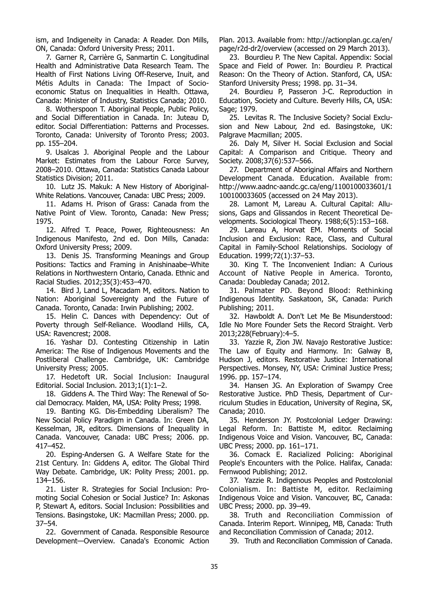ism, and Indigeneity in Canada: A Reader. Don Mills, ON, Canada: Oxford University Press; 2011.

7. Garner R, Carrière G, Sanmartin C. Longitudinal Health and Administrative Data Research Team. The Health of First Nations Living Off-Reserve, Inuit, and Métis Adults in Canada: The Impact of Socioeconomic Status on Inequalities in Health. Ottawa, Canada: Minister of Industry, Statistics Canada; 2010.

8. Wotherspoon T. Aboriginal People, Public Policy, and Social Differentiation in Canada. In: Juteau D, editor. Social Differentiation: Patterns and Processes. Toronto, Canada: University of Toronto Press; 2003. pp. 155–204.

9. Usalcas J. Aboriginal People and the Labour Market: Estimates from the Labour Force Survey, 2008–2010. Ottawa, Canada: Statistics Canada Labour Statistics Division; 2011.

10. Lutz JS. Makuk: A New History of Aboriginal-White Relations. Vancouver, Canada: UBC Press; 2009.

11. Adams H. Prison of Grass: Canada from the Native Point of View. Toronto, Canada: New Press; 1975.

12. Alfred T. Peace, Power, Righteousness: An Indigenous Manifesto, 2nd ed. Don Mills, Canada: Oxford University Press; 2009.

13. Denis JS. Transforming Meanings and Group Positions: Tactics and Framing in Anishinaabe–White Relations in Northwestern Ontario, Canada. Ethnic and Racial Studies. 2012;35(3):453–470.

14. Bird J, Land L, Macadam M, editors. Nation to Nation: Aboriginal Sovereignty and the Future of Canada. Toronto, Canada: Irwin Publishing; 2002.

15. Helin C. Dances with Dependency: Out of Poverty through Self-Reliance. Woodland Hills, CA, USA: Ravencrest; 2008.

16. Yashar DJ. Contesting Citizenship in Latin America: The Rise of Indigenous Movements and the Postliberal Challenge. Cambridge, UK: Cambridge University Press; 2005.

17. Hedetoft UR. Social Inclusion: Inaugural Editorial. Social Inclusion. 2013;1(1):1–2.

18. Giddens A. The Third Way: The Renewal of Social Democracy. Malden, MA, USA: Polity Press; 1998.

19. Banting KG. Dis-Embedding Liberalism? The New Social Policy Paradigm in Canada. In: Green DA, Kesselman, JR, editors. Dimensions of Inequality in Canada. Vancouver, Canada: UBC Press; 2006. pp. 417–452.

20. Esping-Andersen G. A Welfare State for the 21st Century. In: Giddens A, editor. The Global Third Way Debate. Cambridge, UK: Polity Press; 2001. pp. 134–156.

21. Lister R. Strategies for Social Inclusion: Promoting Social Cohesion or Social Justice? In: Askonas P, Stewart A, editors. Social Inclusion: Possibilities and Tensions. Basingstoke, UK: Macmillan Press; 2000. pp. 37–54.

22. Government of Canada. Responsible Resource Development—Overview. Canada's Economic Action

Plan. 2013. Available from: http://actionplan.gc.ca/en/ page/r2d-dr2/overview (accessed on 29 March 2013).

23. Bourdieu P. The New Capital. Appendix: Social Space and Field of Power. In: Bourdieu P. Practical Reason: On the Theory of Action. Stanford, CA, USA: Stanford University Press; 1998. pp. 31–34.

24. Bourdieu P, Passeron J-C. Reproduction in Education, Society and Culture. Beverly Hills, CA, USA: Sage; 1979.

25. Levitas R. The Inclusive Society? Social Exclusion and New Labour, 2nd ed. Basingstoke, UK: Palgrave Macmillan; 2005.

26. Daly M, Silver H. Social Exclusion and Social Capital: A Comparison and Critique. Theory and Society. 2008;37(6):537–566.

27. Department of Aboriginal Affairs and Northern Development Canada. Education. Available from: http://www.aadnc-aandc.gc.ca/eng/1100100033601/1 100100033605 (accessed on 24 May 2013).

28. Lamont M, Lareau A. Cultural Capital: Allusions, Gaps and Glissandos in Recent Theoretical Developments. Sociological Theory. 1988;6(5):153–168.

29. Lareau A, Horvat EM. Moments of Social Inclusion and Exclusion: Race, Class, and Cultural Capital in Family-School Relationships. Sociology of Education. 1999;72(1):37–53.

30. King T. The Inconvenient Indian: A Curious Account of Native People in America. Toronto, Canada: Doubleday Canada; 2012.

31. Palmater PD. Beyond Blood: Rethinking Indigenous Identity. Saskatoon, SK, Canada: Purich Publishing; 2011.

32. Hawboldt A. Don't Let Me Be Misunderstood: Idle No More Founder Sets the Record Straight. Verb 2013;228(February):4–5.

33. Yazzie R, Zion JW. Navajo Restorative Justice: The Law of Equity and Harmony. In: Galway B, Hudson J, editors. Restorative Justice: International Perspectives. Monsey, NY, USA: Criminal Justice Press; 1996. pp. 157–174.

34. Hansen JG. An Exploration of Swampy Cree Restorative Justice. PhD Thesis, Department of Curriculum Studies in Education, University of Regina, SK, Canada; 2010.

35. Henderson JY. Postcolonial Ledger Drawing: Legal Reform. In: Battiste M, editor. Reclaiming Indigenous Voice and Vision. Vancouver, BC, Canada: UBC Press; 2000. pp. 161–171.

36. Comack E. Racialized Policing: Aboriginal People's Encounters with the Police. Halifax, Canada: Fernwood Publishing; 2012.

37. Yazzie R. Indigenous Peoples and Postcolonial Colonialism. In: Battiste M, editor. Reclaiming Indigenous Voice and Vision. Vancouver, BC, Canada: UBC Press; 2000. pp. 39–49.

38. Truth and Reconciliation Commission of Canada. Interim Report. Winnipeg, MB, Canada: Truth and Reconciliation Commission of Canada; 2012.

39. Truth and Reconciliation Commission of Canada.